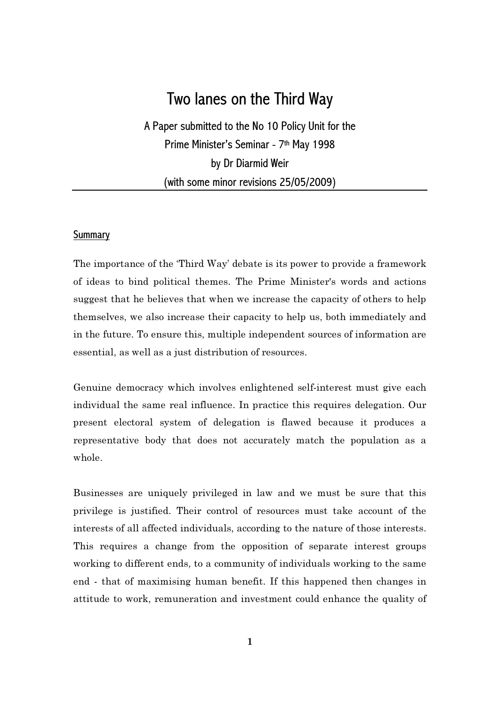# Two lanes on the Third Way

A Paper submitted to the No 10 Policy Unit for the Prime Minister's Seminar - 7th May 1998 by Dr Diarmid Weir (with some minor revisions 25/05/2009)

## **Summary**

The importance of the 'Third Way' debate is its power to provide a framework of ideas to bind political themes. The Prime Minister's words and actions suggest that he believes that when we increase the capacity of others to help themselves, we also increase their capacity to help us, both immediately and in the future. To ensure this, multiple independent sources of information are essential, as well as a just distribution of resources.

Genuine democracy which involves enlightened self-interest must give each individual the same real influence. In practice this requires delegation. Our present electoral system of delegation is flawed because it produces a representative body that does not accurately match the population as a whole.

Businesses are uniquely privileged in law and we must be sure that this privilege is justified. Their control of resources must take account of the interests of all affected individuals, according to the nature of those interests. This requires a change from the opposition of separate interest groups working to different ends, to a community of individuals working to the same end - that of maximising human benefit. If this happened then changes in attitude to work, remuneration and investment could enhance the quality of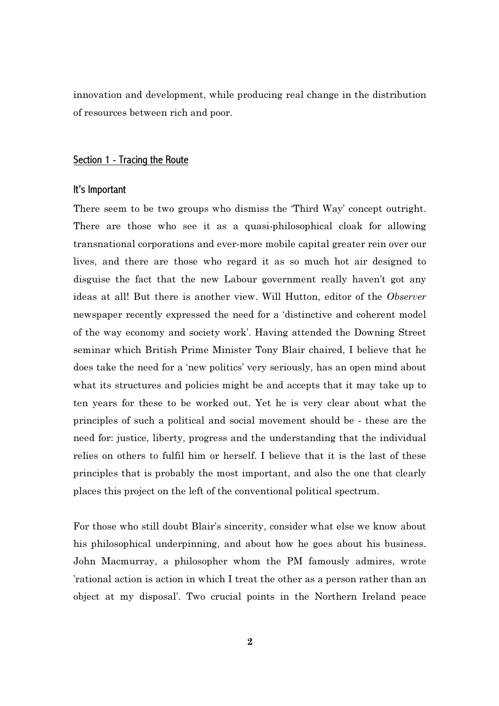innovation and development, while producing real change in the distribution of resources between rich and poor.

# Section 1 - Tracing the Route

#### It's Important

There seem to be two groups who dismiss the 'Third Way' concept outright. There are those who see it as a quasi-philosophical cloak for allowing transnational corporations and ever-more mobile capital greater rein over our lives, and there are those who regard it as so much hot air designed to disguise the fact that the new Labour government really haven't got any ideas at all! But there is another view. Will Hutton, editor of the Observer newspaper recently expressed the need for a 'distinctive and coherent model of the way economy and society work'. Having attended the Downing Street seminar which British Prime Minister Tony Blair chaired, I believe that he does take the need for a 'new politics' very seriously, has an open mind about what its structures and policies might be and accepts that it may take up to ten years for these to be worked out. Yet he is very clear about what the principles of such a political and social movement should be - these are the need for: justice, liberty, progress and the understanding that the individual relies on others to fulfil him or herself. I believe that it is the last of these principles that is probably the most important, and also the one that clearly places this project on the left of the conventional political spectrum.

For those who still doubt Blair's sincerity, consider what else we know about his philosophical underpinning, and about how he goes about his business. John Macmurray, a philosopher whom the PM famously admires, wrote 'rational action is action in which I treat the other as a person rather than an object at my disposal'. Two crucial points in the Northern Ireland peace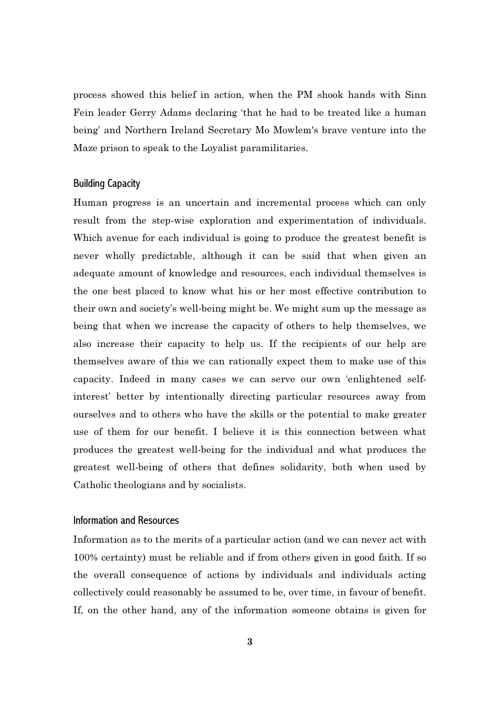process showed this belief in action, when the PM shook hands with Sinn Fein leader Gerry Adams declaring 'that he had to be treated like a human being' and Northern Ireland Secretary Mo Mowlem's brave venture into the Maze prison to speak to the Loyalist paramilitaries.

## Building Capacity

Human progress is an uncertain and incremental process which can only result from the step-wise exploration and experimentation of individuals. Which avenue for each individual is going to produce the greatest benefit is never wholly predictable, although it can be said that when given an adequate amount of knowledge and resources, each individual themselves is the one best placed to know what his or her most effective contribution to their own and society's well-being might be. We might sum up the message as being that when we increase the capacity of others to help themselves, we also increase their capacity to help us. If the recipients of our help are themselves aware of this we can rationally expect them to make use of this capacity. Indeed in many cases we can serve our own 'enlightened selfinterest' better by intentionally directing particular resources away from ourselves and to others who have the skills or the potential to make greater use of them for our benefit. I believe it is this connection between what produces the greatest well-being for the individual and what produces the greatest well-being of others that defines solidarity, both when used by Catholic theologians and by socialists.

# Information and Resources

Information as to the merits of a particular action (and we can never act with 100% certainty) must be reliable and if from others given in good faith. If so the overall consequence of actions by individuals and individuals acting collectively could reasonably be assumed to be, over time, in favour of benefit. If, on the other hand, any of the information someone obtains is given for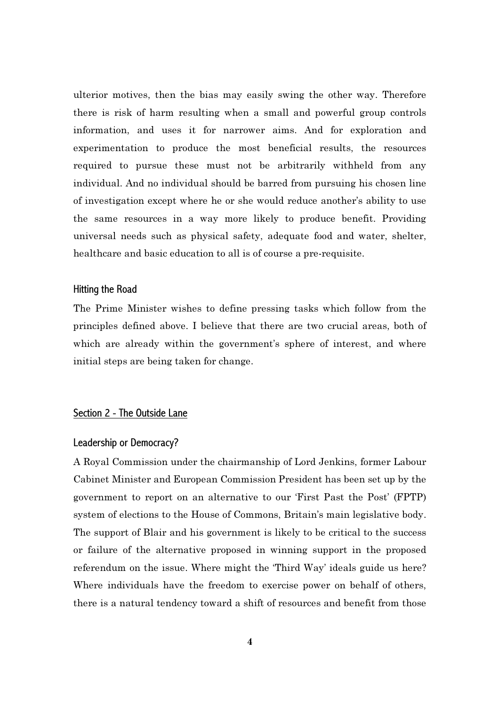ulterior motives, then the bias may easily swing the other way. Therefore there is risk of harm resulting when a small and powerful group controls information, and uses it for narrower aims. And for exploration and experimentation to produce the most beneficial results, the resources required to pursue these must not be arbitrarily withheld from any individual. And no individual should be barred from pursuing his chosen line of investigation except where he or she would reduce another's ability to use the same resources in a way more likely to produce benefit. Providing universal needs such as physical safety, adequate food and water, shelter, healthcare and basic education to all is of course a pre-requisite.

#### Hitting the Road

The Prime Minister wishes to define pressing tasks which follow from the principles defined above. I believe that there are two crucial areas, both of which are already within the government's sphere of interest, and where initial steps are being taken for change.

# Section 2 - The Outside Lane

#### Leadership or Democracy?

A Royal Commission under the chairmanship of Lord Jenkins, former Labour Cabinet Minister and European Commission President has been set up by the government to report on an alternative to our 'First Past the Post' (FPTP) system of elections to the House of Commons, Britain's main legislative body. The support of Blair and his government is likely to be critical to the success or failure of the alternative proposed in winning support in the proposed referendum on the issue. Where might the 'Third Way' ideals guide us here? Where individuals have the freedom to exercise power on behalf of others, there is a natural tendency toward a shift of resources and benefit from those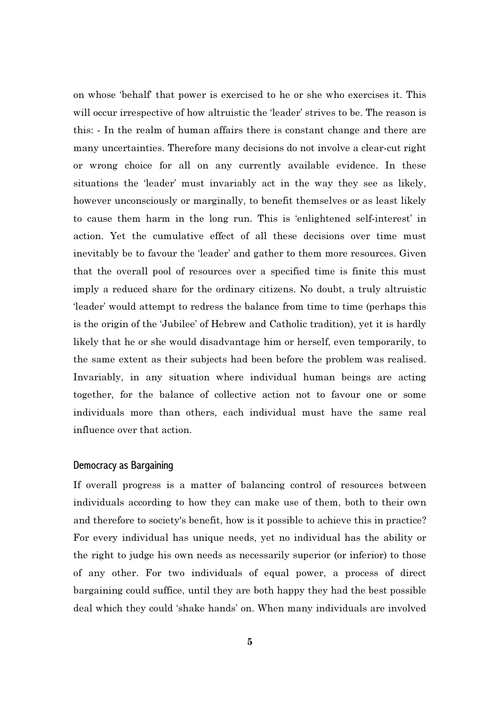on whose 'behalf' that power is exercised to he or she who exercises it. This will occur irrespective of how altruistic the 'leader' strives to be. The reason is this: - In the realm of human affairs there is constant change and there are many uncertainties. Therefore many decisions do not involve a clear-cut right or wrong choice for all on any currently available evidence. In these situations the 'leader' must invariably act in the way they see as likely, however unconsciously or marginally, to benefit themselves or as least likely to cause them harm in the long run. This is 'enlightened self-interest' in action. Yet the cumulative effect of all these decisions over time must inevitably be to favour the 'leader' and gather to them more resources. Given that the overall pool of resources over a specified time is finite this must imply a reduced share for the ordinary citizens. No doubt, a truly altruistic 'leader' would attempt to redress the balance from time to time (perhaps this is the origin of the 'Jubilee' of Hebrew and Catholic tradition), yet it is hardly likely that he or she would disadvantage him or herself, even temporarily, to the same extent as their subjects had been before the problem was realised. Invariably, in any situation where individual human beings are acting together, for the balance of collective action not to favour one or some individuals more than others, each individual must have the same real influence over that action.

### Democracy as Bargaining

If overall progress is a matter of balancing control of resources between individuals according to how they can make use of them, both to their own and therefore to society's benefit, how is it possible to achieve this in practice? For every individual has unique needs, yet no individual has the ability or the right to judge his own needs as necessarily superior (or inferior) to those of any other. For two individuals of equal power, a process of direct bargaining could suffice, until they are both happy they had the best possible deal which they could 'shake hands' on. When many individuals are involved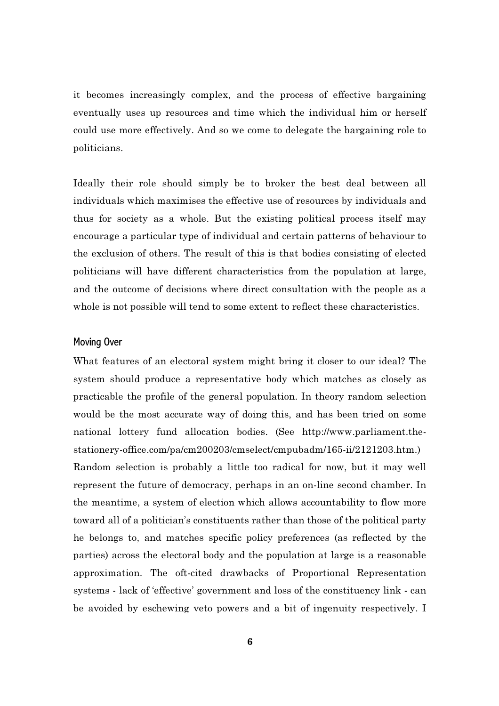it becomes increasingly complex, and the process of effective bargaining eventually uses up resources and time which the individual him or herself could use more effectively. And so we come to delegate the bargaining role to politicians.

Ideally their role should simply be to broker the best deal between all individuals which maximises the effective use of resources by individuals and thus for society as a whole. But the existing political process itself may encourage a particular type of individual and certain patterns of behaviour to the exclusion of others. The result of this is that bodies consisting of elected politicians will have different characteristics from the population at large, and the outcome of decisions where direct consultation with the people as a whole is not possible will tend to some extent to reflect these characteristics.

#### Moving Over

What features of an electoral system might bring it closer to our ideal? The system should produce a representative body which matches as closely as practicable the profile of the general population. In theory random selection would be the most accurate way of doing this, and has been tried on some national lottery fund allocation bodies. (See http://www.parliament.thestationery-office.com/pa/cm200203/cmselect/cmpubadm/165-ii/2121203.htm.) Random selection is probably a little too radical for now, but it may well represent the future of democracy, perhaps in an on-line second chamber. In the meantime, a system of election which allows accountability to flow more toward all of a politician's constituents rather than those of the political party he belongs to, and matches specific policy preferences (as reflected by the parties) across the electoral body and the population at large is a reasonable approximation. The oft-cited drawbacks of Proportional Representation systems - lack of 'effective' government and loss of the constituency link - can be avoided by eschewing veto powers and a bit of ingenuity respectively. I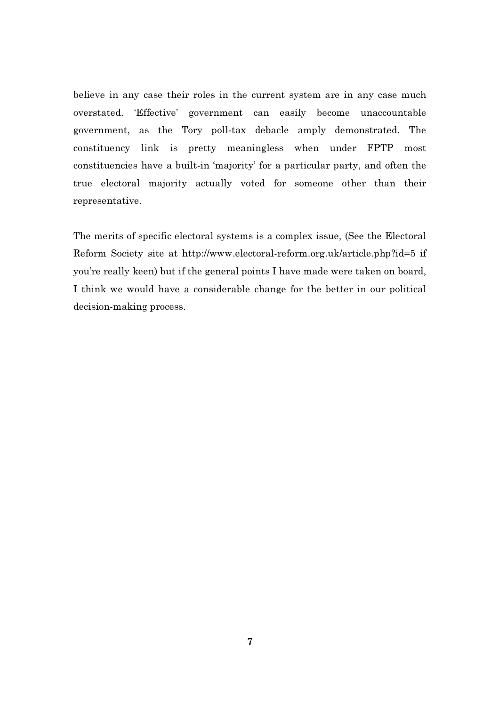believe in any case their roles in the current system are in any case much overstated. 'Effective' government can easily become unaccountable government, as the Tory poll-tax debacle amply demonstrated. The constituency link is pretty meaningless when under FPTP most constituencies have a built-in 'majority' for a particular party, and often the true electoral majority actually voted for someone other than their representative.

The merits of specific electoral systems is a complex issue, (See the Electoral Reform Society site at http://www.electoral-reform.org.uk/article.php?id=5 if you're really keen) but if the general points I have made were taken on board, I think we would have a considerable change for the better in our political decision-making process.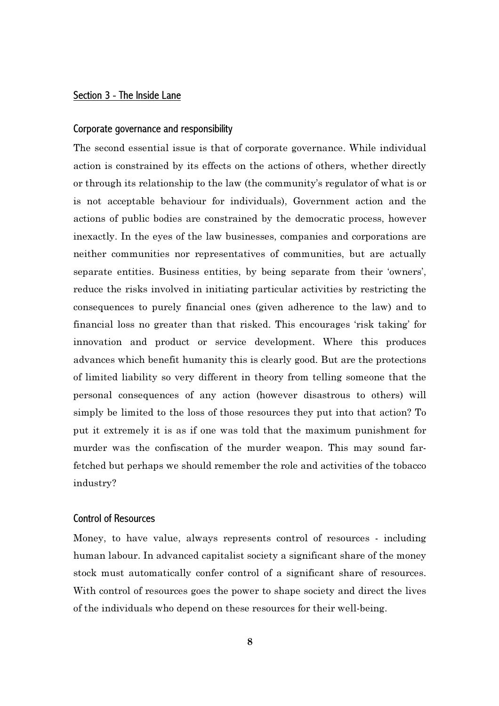# Section 3 - The Inside Lane

#### Corporate governance and responsibility

The second essential issue is that of corporate governance. While individual action is constrained by its effects on the actions of others, whether directly or through its relationship to the law (the community's regulator of what is or is not acceptable behaviour for individuals), Government action and the actions of public bodies are constrained by the democratic process, however inexactly. In the eyes of the law businesses, companies and corporations are neither communities nor representatives of communities, but are actually separate entities. Business entities, by being separate from their 'owners', reduce the risks involved in initiating particular activities by restricting the consequences to purely financial ones (given adherence to the law) and to financial loss no greater than that risked. This encourages 'risk taking' for innovation and product or service development. Where this produces advances which benefit humanity this is clearly good. But are the protections of limited liability so very different in theory from telling someone that the personal consequences of any action (however disastrous to others) will simply be limited to the loss of those resources they put into that action? To put it extremely it is as if one was told that the maximum punishment for murder was the confiscation of the murder weapon. This may sound farfetched but perhaps we should remember the role and activities of the tobacco industry?

# Control of Resources

Money, to have value, always represents control of resources - including human labour. In advanced capitalist society a significant share of the money stock must automatically confer control of a significant share of resources. With control of resources goes the power to shape society and direct the lives of the individuals who depend on these resources for their well-being.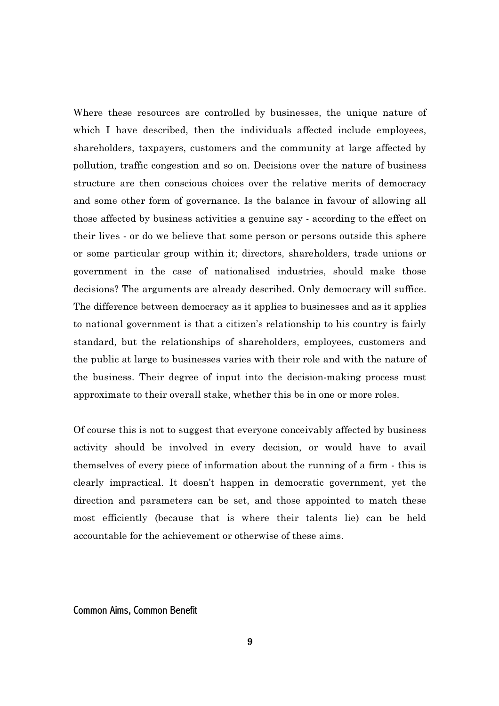Where these resources are controlled by businesses, the unique nature of which I have described, then the individuals affected include employees, shareholders, taxpayers, customers and the community at large affected by pollution, traffic congestion and so on. Decisions over the nature of business structure are then conscious choices over the relative merits of democracy and some other form of governance. Is the balance in favour of allowing all those affected by business activities a genuine say - according to the effect on their lives - or do we believe that some person or persons outside this sphere or some particular group within it; directors, shareholders, trade unions or government in the case of nationalised industries, should make those decisions? The arguments are already described. Only democracy will suffice. The difference between democracy as it applies to businesses and as it applies to national government is that a citizen's relationship to his country is fairly standard, but the relationships of shareholders, employees, customers and the public at large to businesses varies with their role and with the nature of the business. Their degree of input into the decision-making process must approximate to their overall stake, whether this be in one or more roles.

Of course this is not to suggest that everyone conceivably affected by business activity should be involved in every decision, or would have to avail themselves of every piece of information about the running of a firm - this is clearly impractical. It doesn't happen in democratic government, yet the direction and parameters can be set, and those appointed to match these most efficiently (because that is where their talents lie) can be held accountable for the achievement or otherwise of these aims.

Common Aims, Common Benefit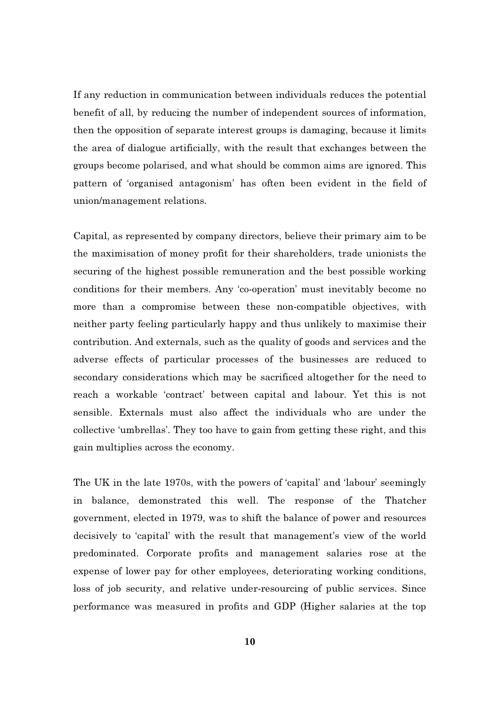If any reduction in communication between individuals reduces the potential benefit of all, by reducing the number of independent sources of information, then the opposition of separate interest groups is damaging, because it limits the area of dialogue artificially, with the result that exchanges between the groups become polarised, and what should be common aims are ignored. This pattern of 'organised antagonism' has often been evident in the field of union/management relations.

Capital, as represented by company directors, believe their primary aim to be the maximisation of money profit for their shareholders, trade unionists the securing of the highest possible remuneration and the best possible working conditions for their members. Any 'co-operation' must inevitably become no more than a compromise between these non-compatible objectives, with neither party feeling particularly happy and thus unlikely to maximise their contribution. And externals, such as the quality of goods and services and the adverse effects of particular processes of the businesses are reduced to secondary considerations which may be sacrificed altogether for the need to reach a workable 'contract' between capital and labour. Yet this is not sensible. Externals must also affect the individuals who are under the collective 'umbrellas'. They too have to gain from getting these right, and this gain multiplies across the economy.

The UK in the late 1970s, with the powers of 'capital' and 'labour' seemingly in balance, demonstrated this well. The response of the Thatcher government, elected in 1979, was to shift the balance of power and resources decisively to 'capital' with the result that management's view of the world predominated. Corporate profits and management salaries rose at the expense of lower pay for other employees, deteriorating working conditions, loss of job security, and relative under-resourcing of public services. Since performance was measured in profits and GDP (Higher salaries at the top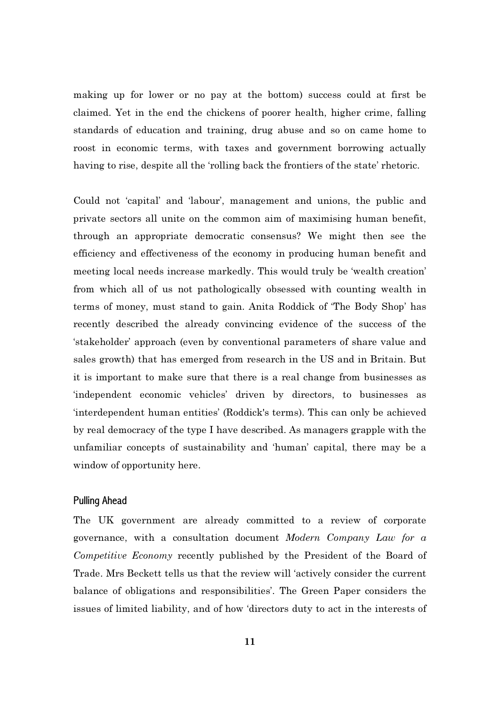making up for lower or no pay at the bottom) success could at first be claimed. Yet in the end the chickens of poorer health, higher crime, falling standards of education and training, drug abuse and so on came home to roost in economic terms, with taxes and government borrowing actually having to rise, despite all the 'rolling back the frontiers of the state' rhetoric.

Could not 'capital' and 'labour', management and unions, the public and private sectors all unite on the common aim of maximising human benefit, through an appropriate democratic consensus? We might then see the efficiency and effectiveness of the economy in producing human benefit and meeting local needs increase markedly. This would truly be 'wealth creation' from which all of us not pathologically obsessed with counting wealth in terms of money, must stand to gain. Anita Roddick of 'The Body Shop' has recently described the already convincing evidence of the success of the 'stakeholder' approach (even by conventional parameters of share value and sales growth) that has emerged from research in the US and in Britain. But it is important to make sure that there is a real change from businesses as 'independent economic vehicles' driven by directors, to businesses as 'interdependent human entities' (Roddick's terms). This can only be achieved by real democracy of the type I have described. As managers grapple with the unfamiliar concepts of sustainability and 'human' capital, there may be a window of opportunity here.

## Pulling Ahead

The UK government are already committed to a review of corporate governance, with a consultation document Modern Company Law for a Competitive Economy recently published by the President of the Board of Trade. Mrs Beckett tells us that the review will 'actively consider the current balance of obligations and responsibilities'. The Green Paper considers the issues of limited liability, and of how 'directors duty to act in the interests of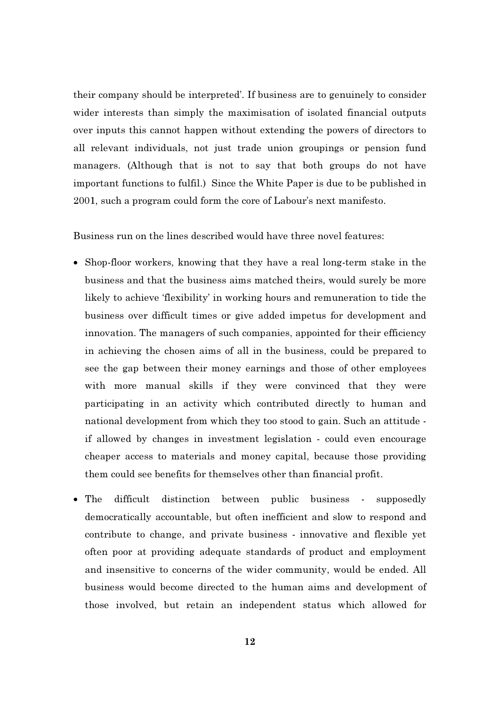their company should be interpreted'. If business are to genuinely to consider wider interests than simply the maximisation of isolated financial outputs over inputs this cannot happen without extending the powers of directors to all relevant individuals, not just trade union groupings or pension fund managers. (Although that is not to say that both groups do not have important functions to fulfil.) Since the White Paper is due to be published in 2001, such a program could form the core of Labour's next manifesto.

Business run on the lines described would have three novel features:

- Shop-floor workers, knowing that they have a real long-term stake in the business and that the business aims matched theirs, would surely be more likely to achieve 'flexibility' in working hours and remuneration to tide the business over difficult times or give added impetus for development and innovation. The managers of such companies, appointed for their efficiency in achieving the chosen aims of all in the business, could be prepared to see the gap between their money earnings and those of other employees with more manual skills if they were convinced that they were participating in an activity which contributed directly to human and national development from which they too stood to gain. Such an attitude if allowed by changes in investment legislation - could even encourage cheaper access to materials and money capital, because those providing them could see benefits for themselves other than financial profit.
- The difficult distinction between public business supposedly democratically accountable, but often inefficient and slow to respond and contribute to change, and private business - innovative and flexible yet often poor at providing adequate standards of product and employment and insensitive to concerns of the wider community, would be ended. All business would become directed to the human aims and development of those involved, but retain an independent status which allowed for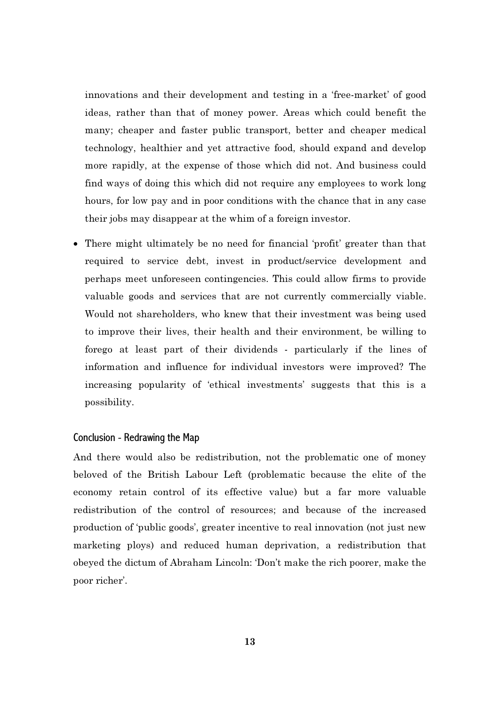innovations and their development and testing in a 'free-market' of good ideas, rather than that of money power. Areas which could benefit the many; cheaper and faster public transport, better and cheaper medical technology, healthier and yet attractive food, should expand and develop more rapidly, at the expense of those which did not. And business could find ways of doing this which did not require any employees to work long hours, for low pay and in poor conditions with the chance that in any case their jobs may disappear at the whim of a foreign investor.

• There might ultimately be no need for financial 'profit' greater than that required to service debt, invest in product/service development and perhaps meet unforeseen contingencies. This could allow firms to provide valuable goods and services that are not currently commercially viable. Would not shareholders, who knew that their investment was being used to improve their lives, their health and their environment, be willing to forego at least part of their dividends - particularly if the lines of information and influence for individual investors were improved? The increasing popularity of 'ethical investments' suggests that this is a possibility.

## Conclusion - Redrawing the Map

And there would also be redistribution, not the problematic one of money beloved of the British Labour Left (problematic because the elite of the economy retain control of its effective value) but a far more valuable redistribution of the control of resources; and because of the increased production of 'public goods', greater incentive to real innovation (not just new marketing ploys) and reduced human deprivation, a redistribution that obeyed the dictum of Abraham Lincoln: 'Don't make the rich poorer, make the poor richer'.